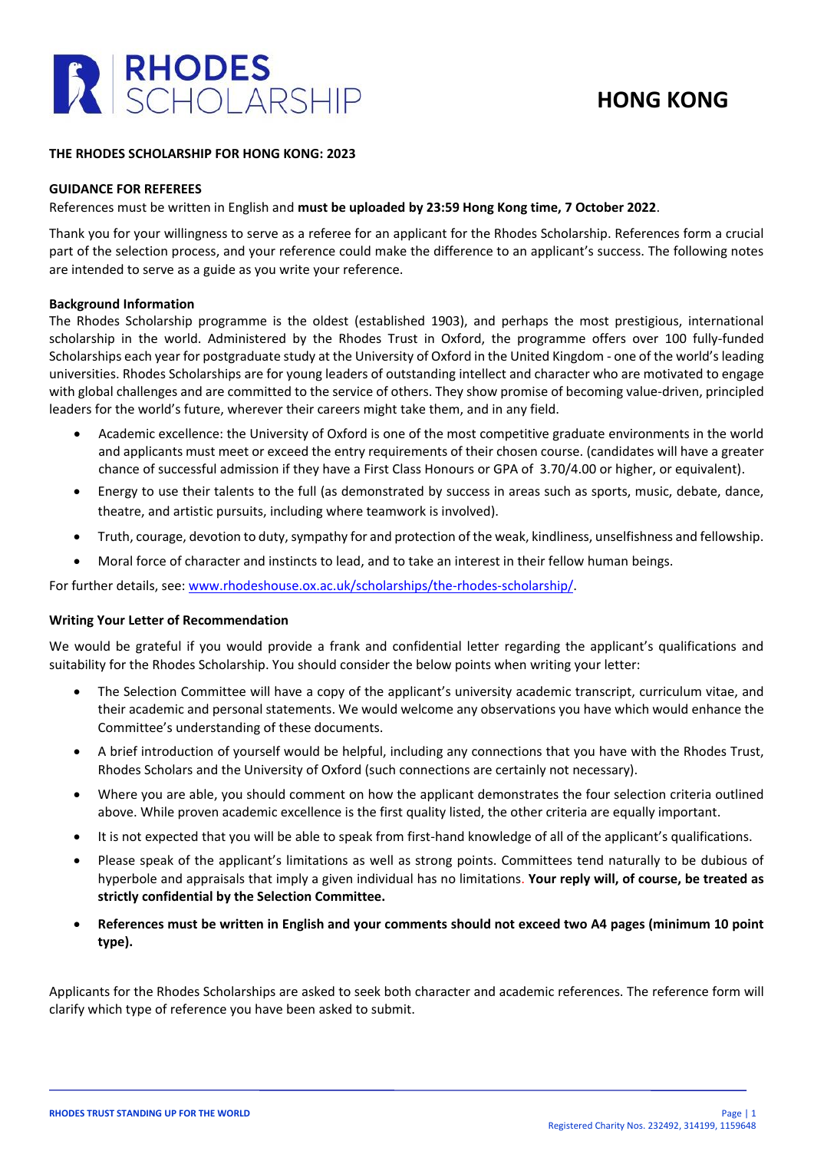

## **HONG KONG**

### **THE RHODES SCHOLARSHIP FOR HONG KONG: 2023**

### **GUIDANCE FOR REFEREES**

### References must be written in English and **must be uploaded by 23:59 Hong Kong time, 7 October 2022**.

Thank you for your willingness to serve as a referee for an applicant for the Rhodes Scholarship. References form a crucial part of the selection process, and your reference could make the difference to an applicant's success. The following notes are intended to serve as a guide as you write your reference.

### **Background Information**

The Rhodes Scholarship programme is the oldest (established 1903), and perhaps the most prestigious, international scholarship in the world. Administered by the Rhodes Trust in Oxford, the programme offers over 100 fully-funded Scholarships each year for postgraduate study at the University of Oxford in the United Kingdom - one of the world's leading universities. Rhodes Scholarships are for young leaders of outstanding intellect and character who are motivated to engage with global challenges and are committed to the service of others. They show promise of becoming value-driven, principled leaders for the world's future, wherever their careers might take them, and in any field.

- Academic excellence: the University of Oxford is one of the most competitive graduate environments in the world and applicants must meet or exceed the entry requirements of their chosen course. (candidates will have a greater chance of successful admission if they have a First Class Honours or GPA of 3.70/4.00 or higher, or equivalent).
- Energy to use their talents to the full (as demonstrated by success in areas such as sports, music, debate, dance, theatre, and artistic pursuits, including where teamwork is involved).
- Truth, courage, devotion to duty, sympathy for and protection of the weak, kindliness, unselfishness and fellowship.
- Moral force of character and instincts to lead, and to take an interest in their fellow human beings.

For further details, see: [www.rhodeshouse.ox.ac.uk/scholarships/the-rhodes-scholarship/.](http://www.rhodeshouse.ox.ac.uk/scholarships/the-rhodes-scholarship/)

### **Writing Your Letter of Recommendation**

We would be grateful if you would provide a frank and confidential letter regarding the applicant's qualifications and suitability for the Rhodes Scholarship. You should consider the below points when writing your letter:

- The Selection Committee will have a copy of the applicant's university academic transcript, curriculum vitae, and their academic and personal statements. We would welcome any observations you have which would enhance the Committee's understanding of these documents.
- A brief introduction of yourself would be helpful, including any connections that you have with the Rhodes Trust, Rhodes Scholars and the University of Oxford (such connections are certainly not necessary).
- Where you are able, you should comment on how the applicant demonstrates the four selection criteria outlined above. While proven academic excellence is the first quality listed, the other criteria are equally important.
- It is not expected that you will be able to speak from first-hand knowledge of all of the applicant's qualifications.
- Please speak of the applicant's limitations as well as strong points. Committees tend naturally to be dubious of hyperbole and appraisals that imply a given individual has no limitations. **Your reply will, of course, be treated as strictly confidential by the Selection Committee.**
- **References must be written in English and your comments should not exceed two A4 pages (minimum 10 point type).**

Applicants for the Rhodes Scholarships are asked to seek both character and academic references. The reference form will clarify which type of reference you have been asked to submit.